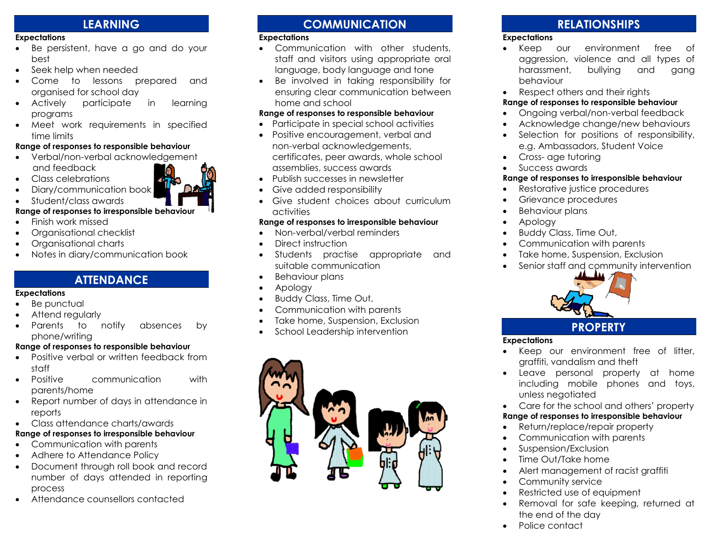# **LEARNING**

#### **Expectations**

- Be persistent, have a go and do your best
- Seek help when needed
- Come to lessons prepared and organised for school day
- Actively participate in learning programs
- Meet work requirements in specified time limits

#### **Range of responses to responsible behaviour**

- Verbal/non-verbal acknowledgement and feedback
- Class celebrations Diary/communication book



#### • Student/class awards

#### **Range of responses to irresponsible behaviour**

- Finish work missed
- Organisational checklist
- Organisational charts
- Notes in diary/communication book

# **ATTENDANCE**

#### **Expectations**

- Be punctual
- Attend regularly
- Parents to notify absences by phone/writing

#### **Range of responses to responsible behaviour**

- Positive verbal or written feedback from staff
- Positive communication with parents/home
- Report number of days in attendance in reports
- Class attendance charts/awards

# **Range of responses to irresponsible behaviour**

- Communication with parents
- Adhere to Attendance Policy
- Document through roll book and record number of days attended in reporting process
- Attendance counsellors contacted

# **COMMUNICATION**

#### **Expectations**

- Communication with other students, staff and visitors using appropriate oral language, body language and tone
- Be involved in taking responsibility for ensuring clear communication between home and school

#### **Range of responses to responsible behaviour**

- Participate in special school activities
- Positive encouragement, verbal and non-verbal acknowledgements, certificates, peer awards, whole school assemblies, success awards
- Publish successes in newsletter
- Give added responsibility
- Give student choices about curriculum activities

#### **Range of responses to irresponsible behaviour**

- Non-verbal/verbal reminders
- Direct instruction
- Students practise appropriate and suitable communication
- Behaviour plans
- Apology
- Buddy Class, Time Out,
- Communication with parents
- Take home, Suspension, Exclusion
- School Leadership intervention



# **RELATIONSHIPS**

### **Expectations**

- Keep our environment free of aggression, violence and all types of harassment, bullying and gang behaviour
- Respect others and their rights

# **Range of responses to responsible behaviour**

- Ongoing verbal/non-verbal feedback
- Acknowledge change/new behaviours
- Selection for positions of responsibility, e.g. Ambassadors, Student Voice
- Cross- age tutoring
- Success awards

# **Range of responses to irresponsible behaviour**

- Restorative justice procedures
- Grievance procedures
- Behaviour plans
- Apology
- Buddy Class, Time Out,
- Communication with parents
- Take home, Suspension, Exclusion
- Senior staff and community intervention



# **PROPERTY**

#### **Expectations**

- Keep our environment free of litter, graffiti, vandalism and theft
- Leave personal property at home including mobile phones and toys, unless negotiated
- Care for the school and others' property

# **Range of responses to irresponsible behaviour**

- Return/replace/repair property
- Communication with parents
- Suspension/Exclusion
- Time Out/Take home
- Alert management of racist graffiti
- Community service
- Restricted use of equipment
- Removal for safe keeping, returned at the end of the day
- Police contact